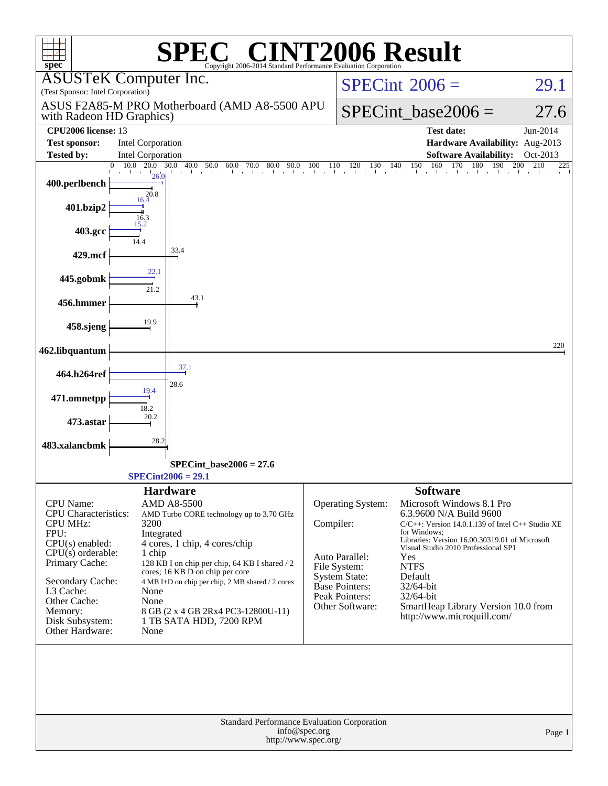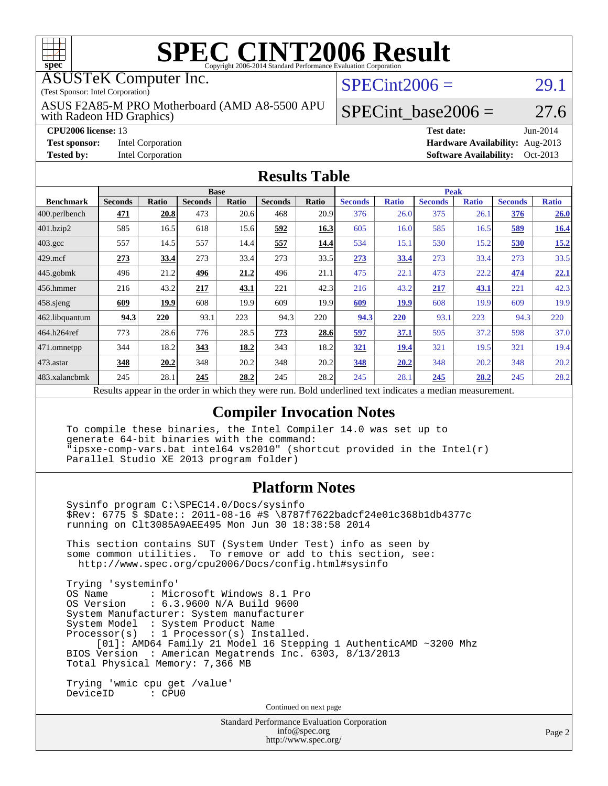

# **[SPEC CINT2006 Result](http://www.spec.org/auto/cpu2006/Docs/result-fields.html#SPECCINT2006Result)**

ASUSTeK Computer Inc.

(Test Sponsor: Intel Corporation)

with Radeon HD Graphics) ASUS F2A85-M PRO Motherboard (AMD A8-5500 APU

 $SPECint2006 = 29.1$  $SPECint2006 = 29.1$ 

**[Test sponsor:](http://www.spec.org/auto/cpu2006/Docs/result-fields.html#Testsponsor)** Intel Corporation **[Hardware Availability:](http://www.spec.org/auto/cpu2006/Docs/result-fields.html#HardwareAvailability)** Aug-2013

**[Tested by:](http://www.spec.org/auto/cpu2006/Docs/result-fields.html#Testedby)** Intel Corporation **[Software Availability:](http://www.spec.org/auto/cpu2006/Docs/result-fields.html#SoftwareAvailability)** Oct-2013

SPECint base2006 =  $27.6$ 

**[CPU2006 license:](http://www.spec.org/auto/cpu2006/Docs/result-fields.html#CPU2006license)** 13 **[Test date:](http://www.spec.org/auto/cpu2006/Docs/result-fields.html#Testdate)** Jun-2014

#### **[Results Table](http://www.spec.org/auto/cpu2006/Docs/result-fields.html#ResultsTable)**

| <b>Base</b>    |       |                |       |                | <b>Peak</b>                          |                |              |                |              |                |              |
|----------------|-------|----------------|-------|----------------|--------------------------------------|----------------|--------------|----------------|--------------|----------------|--------------|
| <b>Seconds</b> | Ratio | <b>Seconds</b> | Ratio | <b>Seconds</b> | Ratio                                | <b>Seconds</b> | <b>Ratio</b> | <b>Seconds</b> | <b>Ratio</b> | <b>Seconds</b> | <b>Ratio</b> |
| 471            | 20.8  | 473            |       | 468            | 20.9                                 | 376            |              | 375            | 26.1         | 376            | 26.0         |
| 585            | 16.5  | 618            |       | 592            | 16.3                                 | 605            |              | 585            | 16.5         | <u>589</u>     | <b>16.4</b>  |
| 557            | 14.5  | 557            |       | 557            | 14.4                                 | 534            | 15.1         | 530            | 15.2         | 530            | 15.2         |
| 273            | 33.4  | 273            |       | 273            | 33.5                                 | 273            | 33.4         | 273            | 33.4         | 273            | 33.5         |
| 496            | 21.2  | 496            | 21.2  | 496            | 21.1                                 | 475            | 22.1         | 473            | 22.2         | 474            | 22.1         |
| 216            | 43.2  | 217            | 43.1  | 221            | 42.3                                 | 216            | 43.2         | 217            | 43.1         | 221            | 42.3         |
| 609            | 19.9  | 608            | 19.9  | 609            | 19.9                                 | 609            | <b>19.9</b>  | 608            | 19.9         | 609            | 19.9         |
| 94.3           | 220   | 93.1           | 223   | 94.3           | 220                                  | 94.3           | 220          | 93.1           | 223          | 94.3           | 220          |
| 773            |       | 776            |       | 773            | 28.6                                 | 597            | 37.1         | 595            | 37.2         | 598            | 37.0         |
| 344            | 18.2  | 343            | 18.2  | 343            | 18.2                                 | 321            | 19.4         | 321            | 19.5         | 321            | 19.4         |
| 348            | 20.2  | 348            | 20.2  | 348            | 20.2                                 | 348            | 20.2         | 348            | 20.2         | 348            | 20.2         |
| 245            | 28.1  | 245            | 28.2  | 245            | 28.2                                 | 245            | 28.1         | 245            | 28.2         | 245            | 28.2         |
|                |       |                | 28.6  |                | 20.6<br>15.6<br>14.4<br>33.4<br>28.5 |                |              |                | 26.0<br>16.0 |                |              |

Results appear in the [order in which they were run.](http://www.spec.org/auto/cpu2006/Docs/result-fields.html#RunOrder) Bold underlined text [indicates a median measurement.](http://www.spec.org/auto/cpu2006/Docs/result-fields.html#Median)

### **[Compiler Invocation Notes](http://www.spec.org/auto/cpu2006/Docs/result-fields.html#CompilerInvocationNotes)**

 To compile these binaries, the Intel Compiler 14.0 was set up to generate 64-bit binaries with the command: "ipsxe-comp-vars.bat intel64 vs2010" (shortcut provided in the Intel(r) Parallel Studio XE 2013 program folder)

### **[Platform Notes](http://www.spec.org/auto/cpu2006/Docs/result-fields.html#PlatformNotes)**

 Sysinfo program C:\SPEC14.0/Docs/sysinfo \$Rev: 6775 \$ \$Date:: 2011-08-16 #\$ \8787f7622badcf24e01c368b1db4377c running on Clt3085A9AEE495 Mon Jun 30 18:38:58 2014

 This section contains SUT (System Under Test) info as seen by some common utilities. To remove or add to this section, see: <http://www.spec.org/cpu2006/Docs/config.html#sysinfo>

 Trying 'systeminfo' : Microsoft Windows 8.1 Pro OS Version : 6.3.9600 N/A Build 9600 System Manufacturer: System manufacturer System Model : System Product Name Processor(s) : 1 Processor(s) Installed. [01]: AMD64 Family 21 Model 16 Stepping 1 AuthenticAMD ~3200 Mhz BIOS Version : American Megatrends Inc. 6303, 8/13/2013 Total Physical Memory: 7,366 MB

 Trying 'wmic cpu get /value' DeviceID : CPU0

Continued on next page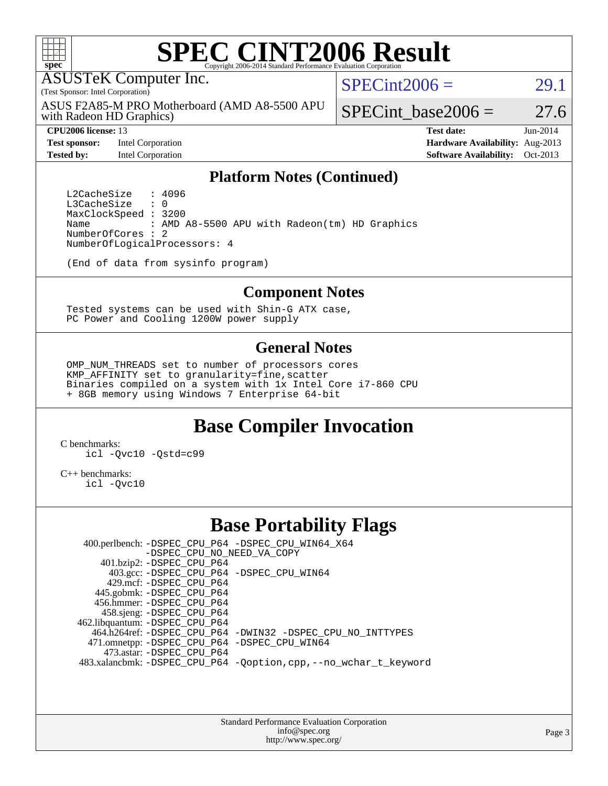

# **[SPEC CINT2006 Result](http://www.spec.org/auto/cpu2006/Docs/result-fields.html#SPECCINT2006Result)**

ASUSTeK Computer Inc.

(Test Sponsor: Intel Corporation)

with Radeon HD Graphics) ASUS F2A85-M PRO Motherboard (AMD A8-5500 APU  $SPECint2006 = 29.1$  $SPECint2006 = 29.1$ 

**[Test sponsor:](http://www.spec.org/auto/cpu2006/Docs/result-fields.html#Testsponsor)** Intel Corporation **[Hardware Availability:](http://www.spec.org/auto/cpu2006/Docs/result-fields.html#HardwareAvailability)** Aug-2013

SPECint base2006 =  $27.6$ **[CPU2006 license:](http://www.spec.org/auto/cpu2006/Docs/result-fields.html#CPU2006license)** 13 **[Test date:](http://www.spec.org/auto/cpu2006/Docs/result-fields.html#Testdate)** Jun-2014

**[Tested by:](http://www.spec.org/auto/cpu2006/Docs/result-fields.html#Testedby)** Intel Corporation **[Software Availability:](http://www.spec.org/auto/cpu2006/Docs/result-fields.html#SoftwareAvailability)** Oct-2013

#### **[Platform Notes \(Continued\)](http://www.spec.org/auto/cpu2006/Docs/result-fields.html#PlatformNotes)**

L2CacheSize : 4096<br>L3CacheSize : 0 L3CacheSize MaxClockSpeed : 3200 Name : AMD A8-5500 APU with Radeon(tm) HD Graphics NumberOfCores : 2 NumberOfLogicalProcessors: 4

(End of data from sysinfo program)

#### **[Component Notes](http://www.spec.org/auto/cpu2006/Docs/result-fields.html#ComponentNotes)**

 Tested systems can be used with Shin-G ATX case, PC Power and Cooling 1200W power supply

### **[General Notes](http://www.spec.org/auto/cpu2006/Docs/result-fields.html#GeneralNotes)**

 OMP\_NUM\_THREADS set to number of processors cores KMP\_AFFINITY set to granularity=fine,scatter Binaries compiled on a system with 1x Intel Core i7-860 CPU + 8GB memory using Windows 7 Enterprise 64-bit

## **[Base Compiler Invocation](http://www.spec.org/auto/cpu2006/Docs/result-fields.html#BaseCompilerInvocation)**

[C benchmarks](http://www.spec.org/auto/cpu2006/Docs/result-fields.html#Cbenchmarks): [icl -Qvc10](http://www.spec.org/cpu2006/results/res2014q3/cpu2006-20140725-30581.flags.html#user_CCbase_intel_icc_vc10_9607f3ecbcdf68042245f068e51b40c1) [-Qstd=c99](http://www.spec.org/cpu2006/results/res2014q3/cpu2006-20140725-30581.flags.html#user_CCbase_intel_compiler_c99_mode_1a3d110e3041b3ad4466830521bdad2a)

[C++ benchmarks:](http://www.spec.org/auto/cpu2006/Docs/result-fields.html#CXXbenchmarks) [icl -Qvc10](http://www.spec.org/cpu2006/results/res2014q3/cpu2006-20140725-30581.flags.html#user_CXXbase_intel_icc_vc10_9607f3ecbcdf68042245f068e51b40c1)

### **[Base Portability Flags](http://www.spec.org/auto/cpu2006/Docs/result-fields.html#BasePortabilityFlags)**

 400.perlbench: [-DSPEC\\_CPU\\_P64](http://www.spec.org/cpu2006/results/res2014q3/cpu2006-20140725-30581.flags.html#b400.perlbench_basePORTABILITY_DSPEC_CPU_P64) [-DSPEC\\_CPU\\_WIN64\\_X64](http://www.spec.org/cpu2006/results/res2014q3/cpu2006-20140725-30581.flags.html#b400.perlbench_baseCPORTABILITY_DSPEC_CPU_WIN64_X64) [-DSPEC\\_CPU\\_NO\\_NEED\\_VA\\_COPY](http://www.spec.org/cpu2006/results/res2014q3/cpu2006-20140725-30581.flags.html#b400.perlbench_baseCPORTABILITY_DSPEC_CPU_NO_NEED_VA_COPY) 401.bzip2: [-DSPEC\\_CPU\\_P64](http://www.spec.org/cpu2006/results/res2014q3/cpu2006-20140725-30581.flags.html#suite_basePORTABILITY401_bzip2_DSPEC_CPU_P64) 403.gcc: [-DSPEC\\_CPU\\_P64](http://www.spec.org/cpu2006/results/res2014q3/cpu2006-20140725-30581.flags.html#suite_basePORTABILITY403_gcc_DSPEC_CPU_P64) [-DSPEC\\_CPU\\_WIN64](http://www.spec.org/cpu2006/results/res2014q3/cpu2006-20140725-30581.flags.html#b403.gcc_baseCPORTABILITY_DSPEC_CPU_WIN64) 429.mcf: [-DSPEC\\_CPU\\_P64](http://www.spec.org/cpu2006/results/res2014q3/cpu2006-20140725-30581.flags.html#suite_basePORTABILITY429_mcf_DSPEC_CPU_P64) 445.gobmk: [-DSPEC\\_CPU\\_P64](http://www.spec.org/cpu2006/results/res2014q3/cpu2006-20140725-30581.flags.html#suite_basePORTABILITY445_gobmk_DSPEC_CPU_P64) 456.hmmer: [-DSPEC\\_CPU\\_P64](http://www.spec.org/cpu2006/results/res2014q3/cpu2006-20140725-30581.flags.html#suite_basePORTABILITY456_hmmer_DSPEC_CPU_P64) 458.sjeng: [-DSPEC\\_CPU\\_P64](http://www.spec.org/cpu2006/results/res2014q3/cpu2006-20140725-30581.flags.html#suite_basePORTABILITY458_sjeng_DSPEC_CPU_P64) 462.libquantum: [-DSPEC\\_CPU\\_P64](http://www.spec.org/cpu2006/results/res2014q3/cpu2006-20140725-30581.flags.html#suite_basePORTABILITY462_libquantum_DSPEC_CPU_P64) 464.h264ref: [-DSPEC\\_CPU\\_P64](http://www.spec.org/cpu2006/results/res2014q3/cpu2006-20140725-30581.flags.html#suite_basePORTABILITY464_h264ref_DSPEC_CPU_P64) [-DWIN32](http://www.spec.org/cpu2006/results/res2014q3/cpu2006-20140725-30581.flags.html#b464.h264ref_baseCPORTABILITY_DWIN32) [-DSPEC\\_CPU\\_NO\\_INTTYPES](http://www.spec.org/cpu2006/results/res2014q3/cpu2006-20140725-30581.flags.html#b464.h264ref_baseCPORTABILITY_DSPEC_CPU_NO_INTTYPES) 471.omnetpp: [-DSPEC\\_CPU\\_P64](http://www.spec.org/cpu2006/results/res2014q3/cpu2006-20140725-30581.flags.html#suite_basePORTABILITY471_omnetpp_DSPEC_CPU_P64) [-DSPEC\\_CPU\\_WIN64](http://www.spec.org/cpu2006/results/res2014q3/cpu2006-20140725-30581.flags.html#b471.omnetpp_baseCXXPORTABILITY_DSPEC_CPU_WIN64) 473.astar: [-DSPEC\\_CPU\\_P64](http://www.spec.org/cpu2006/results/res2014q3/cpu2006-20140725-30581.flags.html#suite_basePORTABILITY473_astar_DSPEC_CPU_P64) 483.xalancbmk: [-DSPEC\\_CPU\\_P64](http://www.spec.org/cpu2006/results/res2014q3/cpu2006-20140725-30581.flags.html#suite_basePORTABILITY483_xalancbmk_DSPEC_CPU_P64) [-Qoption,cpp,--no\\_wchar\\_t\\_keyword](http://www.spec.org/cpu2006/results/res2014q3/cpu2006-20140725-30581.flags.html#user_baseCXXPORTABILITY483_xalancbmk_f-no_wchar_t_keyword_ec0ad4495a16b4e858bfcb29d949d25d)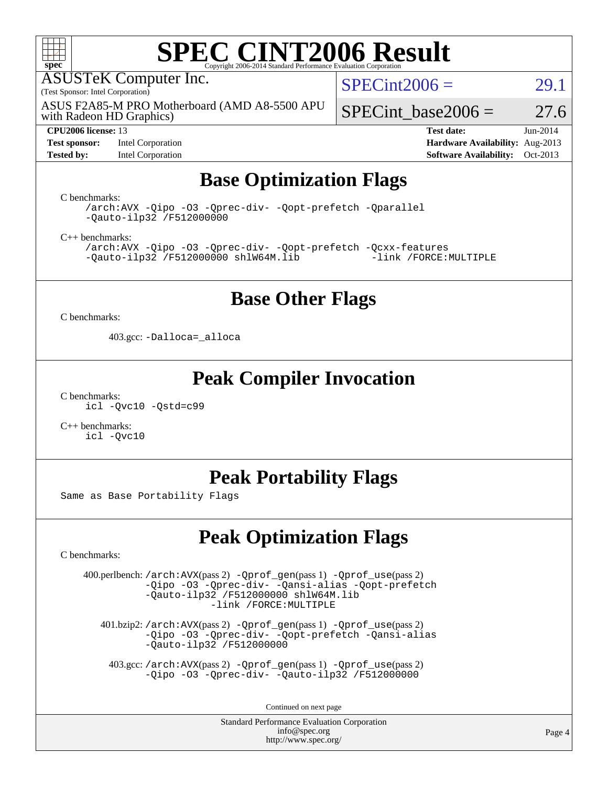

# **[SPEC CINT2006 Result](http://www.spec.org/auto/cpu2006/Docs/result-fields.html#SPECCINT2006Result)**

ASUSTeK Computer Inc.

(Test Sponsor: Intel Corporation)

ASUS F2A85-M PRO Motherboard (AMD A8-5500 APU

 $SPECint2006 = 29.1$  $SPECint2006 = 29.1$ 

with Radeon HD Graphics)

**[Test sponsor:](http://www.spec.org/auto/cpu2006/Docs/result-fields.html#Testsponsor)** Intel Corporation **[Hardware Availability:](http://www.spec.org/auto/cpu2006/Docs/result-fields.html#HardwareAvailability)** Aug-2013

SPECint base2006 =  $27.6$ 

**[CPU2006 license:](http://www.spec.org/auto/cpu2006/Docs/result-fields.html#CPU2006license)** 13 **[Test date:](http://www.spec.org/auto/cpu2006/Docs/result-fields.html#Testdate)** Jun-2014 **[Tested by:](http://www.spec.org/auto/cpu2006/Docs/result-fields.html#Testedby)** Intel Corporation **[Software Availability:](http://www.spec.org/auto/cpu2006/Docs/result-fields.html#SoftwareAvailability)** Oct-2013

# **[Base Optimization Flags](http://www.spec.org/auto/cpu2006/Docs/result-fields.html#BaseOptimizationFlags)**

[C benchmarks](http://www.spec.org/auto/cpu2006/Docs/result-fields.html#Cbenchmarks):

[/arch:AVX](http://www.spec.org/cpu2006/results/res2014q3/cpu2006-20140725-30581.flags.html#user_CCbase_f-archAVX_e8ab52e15dc7c67e0682fc680b79ed94) [-Qipo](http://www.spec.org/cpu2006/results/res2014q3/cpu2006-20140725-30581.flags.html#user_CCbase_f-Qipo) [-O3](http://www.spec.org/cpu2006/results/res2014q3/cpu2006-20140725-30581.flags.html#user_CCbase_f-O3) [-Qprec-div-](http://www.spec.org/cpu2006/results/res2014q3/cpu2006-20140725-30581.flags.html#user_CCbase_f-Qprec-div-) [-Qopt-prefetch](http://www.spec.org/cpu2006/results/res2014q3/cpu2006-20140725-30581.flags.html#user_CCbase_f-Qprefetch_37c211608666b9dff9380561f602f0a8) [-Qparallel](http://www.spec.org/cpu2006/results/res2014q3/cpu2006-20140725-30581.flags.html#user_CCbase_f-Qparallel) [-Qauto-ilp32](http://www.spec.org/cpu2006/results/res2014q3/cpu2006-20140725-30581.flags.html#user_CCbase_f-Qauto-ilp32) [/F512000000](http://www.spec.org/cpu2006/results/res2014q3/cpu2006-20140725-30581.flags.html#user_CCbase_set_stack_space_98438a10eb60aa5f35f4c79d9b9b27b1)

[C++ benchmarks:](http://www.spec.org/auto/cpu2006/Docs/result-fields.html#CXXbenchmarks)

[/arch:AVX](http://www.spec.org/cpu2006/results/res2014q3/cpu2006-20140725-30581.flags.html#user_CXXbase_f-archAVX_e8ab52e15dc7c67e0682fc680b79ed94) [-Qipo](http://www.spec.org/cpu2006/results/res2014q3/cpu2006-20140725-30581.flags.html#user_CXXbase_f-Qipo) [-O3](http://www.spec.org/cpu2006/results/res2014q3/cpu2006-20140725-30581.flags.html#user_CXXbase_f-O3) [-Qprec-div-](http://www.spec.org/cpu2006/results/res2014q3/cpu2006-20140725-30581.flags.html#user_CXXbase_f-Qprec-div-) [-Qopt-prefetch](http://www.spec.org/cpu2006/results/res2014q3/cpu2006-20140725-30581.flags.html#user_CXXbase_f-Qprefetch_37c211608666b9dff9380561f602f0a8) [-Qcxx-features](http://www.spec.org/cpu2006/results/res2014q3/cpu2006-20140725-30581.flags.html#user_CXXbase_f-Qcxx_features_dbf36c8a6dba956e22f1645e4dcd4d98)  $-Qauto-ilp32$  [/F512000000](http://www.spec.org/cpu2006/results/res2014q3/cpu2006-20140725-30581.flags.html#user_CXXbase_set_stack_space_98438a10eb60aa5f35f4c79d9b9b27b1) [shlW64M.lib](http://www.spec.org/cpu2006/results/res2014q3/cpu2006-20140725-30581.flags.html#user_CXXbase_SmartHeap64_c4f7f76711bdf8c0633a5c1edf6e5396)

## **[Base Other Flags](http://www.spec.org/auto/cpu2006/Docs/result-fields.html#BaseOtherFlags)**

[C benchmarks](http://www.spec.org/auto/cpu2006/Docs/result-fields.html#Cbenchmarks):

403.gcc: [-Dalloca=\\_alloca](http://www.spec.org/cpu2006/results/res2014q3/cpu2006-20140725-30581.flags.html#b403.gcc_baseEXTRA_CFLAGS_Dalloca_be3056838c12de2578596ca5467af7f3)

## **[Peak Compiler Invocation](http://www.spec.org/auto/cpu2006/Docs/result-fields.html#PeakCompilerInvocation)**

[C benchmarks](http://www.spec.org/auto/cpu2006/Docs/result-fields.html#Cbenchmarks): [icl -Qvc10](http://www.spec.org/cpu2006/results/res2014q3/cpu2006-20140725-30581.flags.html#user_CCpeak_intel_icc_vc10_9607f3ecbcdf68042245f068e51b40c1) [-Qstd=c99](http://www.spec.org/cpu2006/results/res2014q3/cpu2006-20140725-30581.flags.html#user_CCpeak_intel_compiler_c99_mode_1a3d110e3041b3ad4466830521bdad2a)

[C++ benchmarks:](http://www.spec.org/auto/cpu2006/Docs/result-fields.html#CXXbenchmarks) [icl -Qvc10](http://www.spec.org/cpu2006/results/res2014q3/cpu2006-20140725-30581.flags.html#user_CXXpeak_intel_icc_vc10_9607f3ecbcdf68042245f068e51b40c1)

# **[Peak Portability Flags](http://www.spec.org/auto/cpu2006/Docs/result-fields.html#PeakPortabilityFlags)**

Same as Base Portability Flags

# **[Peak Optimization Flags](http://www.spec.org/auto/cpu2006/Docs/result-fields.html#PeakOptimizationFlags)**

[C benchmarks](http://www.spec.org/auto/cpu2006/Docs/result-fields.html#Cbenchmarks):

 400.perlbench: [/arch:AVX](http://www.spec.org/cpu2006/results/res2014q3/cpu2006-20140725-30581.flags.html#user_peakPASS2_CFLAGSPASS2_LDFLAGS400_perlbench_f-archAVX_e8ab52e15dc7c67e0682fc680b79ed94)(pass 2) [-Qprof\\_gen](http://www.spec.org/cpu2006/results/res2014q3/cpu2006-20140725-30581.flags.html#user_peakPASS1_CFLAGSPASS1_LDFLAGS400_perlbench_Qprof_gen)(pass 1) [-Qprof\\_use](http://www.spec.org/cpu2006/results/res2014q3/cpu2006-20140725-30581.flags.html#user_peakPASS2_CFLAGSPASS2_LDFLAGS400_perlbench_Qprof_use)(pass 2) [-Qipo](http://www.spec.org/cpu2006/results/res2014q3/cpu2006-20140725-30581.flags.html#user_peakOPTIMIZE400_perlbench_f-Qipo) [-O3](http://www.spec.org/cpu2006/results/res2014q3/cpu2006-20140725-30581.flags.html#user_peakOPTIMIZE400_perlbench_f-O3) [-Qprec-div-](http://www.spec.org/cpu2006/results/res2014q3/cpu2006-20140725-30581.flags.html#user_peakOPTIMIZE400_perlbench_f-Qprec-div-) [-Qansi-alias](http://www.spec.org/cpu2006/results/res2014q3/cpu2006-20140725-30581.flags.html#user_peakOPTIMIZE400_perlbench_f-Qansi-alias) [-Qopt-prefetch](http://www.spec.org/cpu2006/results/res2014q3/cpu2006-20140725-30581.flags.html#user_peakOPTIMIZE400_perlbench_f-Qprefetch_37c211608666b9dff9380561f602f0a8) [-Qauto-ilp32](http://www.spec.org/cpu2006/results/res2014q3/cpu2006-20140725-30581.flags.html#user_peakCOPTIMIZE400_perlbench_f-Qauto-ilp32) [/F512000000](http://www.spec.org/cpu2006/results/res2014q3/cpu2006-20140725-30581.flags.html#user_peakEXTRA_LDFLAGS400_perlbench_set_stack_space_98438a10eb60aa5f35f4c79d9b9b27b1) [shlW64M.lib](http://www.spec.org/cpu2006/results/res2014q3/cpu2006-20140725-30581.flags.html#user_peakEXTRA_LIBS400_perlbench_SmartHeap64_c4f7f76711bdf8c0633a5c1edf6e5396)  [-link /FORCE:MULTIPLE](http://www.spec.org/cpu2006/results/res2014q3/cpu2006-20140725-30581.flags.html#user_peakLDOUT400_perlbench_link_force_multiple2_070fe330869edf77077b841074b8b0b6)

 401.bzip2: [/arch:AVX](http://www.spec.org/cpu2006/results/res2014q3/cpu2006-20140725-30581.flags.html#user_peakPASS2_CFLAGSPASS2_LDFLAGS401_bzip2_f-archAVX_e8ab52e15dc7c67e0682fc680b79ed94)(pass 2) [-Qprof\\_gen](http://www.spec.org/cpu2006/results/res2014q3/cpu2006-20140725-30581.flags.html#user_peakPASS1_CFLAGSPASS1_LDFLAGS401_bzip2_Qprof_gen)(pass 1) [-Qprof\\_use](http://www.spec.org/cpu2006/results/res2014q3/cpu2006-20140725-30581.flags.html#user_peakPASS2_CFLAGSPASS2_LDFLAGS401_bzip2_Qprof_use)(pass 2) [-Qipo](http://www.spec.org/cpu2006/results/res2014q3/cpu2006-20140725-30581.flags.html#user_peakOPTIMIZE401_bzip2_f-Qipo) [-O3](http://www.spec.org/cpu2006/results/res2014q3/cpu2006-20140725-30581.flags.html#user_peakOPTIMIZE401_bzip2_f-O3) [-Qprec-div-](http://www.spec.org/cpu2006/results/res2014q3/cpu2006-20140725-30581.flags.html#user_peakOPTIMIZE401_bzip2_f-Qprec-div-) [-Qopt-prefetch](http://www.spec.org/cpu2006/results/res2014q3/cpu2006-20140725-30581.flags.html#user_peakOPTIMIZE401_bzip2_f-Qprefetch_37c211608666b9dff9380561f602f0a8) [-Qansi-alias](http://www.spec.org/cpu2006/results/res2014q3/cpu2006-20140725-30581.flags.html#user_peakOPTIMIZE401_bzip2_f-Qansi-alias) [-Qauto-ilp32](http://www.spec.org/cpu2006/results/res2014q3/cpu2006-20140725-30581.flags.html#user_peakCOPTIMIZE401_bzip2_f-Qauto-ilp32) [/F512000000](http://www.spec.org/cpu2006/results/res2014q3/cpu2006-20140725-30581.flags.html#user_peakEXTRA_LDFLAGS401_bzip2_set_stack_space_98438a10eb60aa5f35f4c79d9b9b27b1)

 403.gcc: [/arch:AVX](http://www.spec.org/cpu2006/results/res2014q3/cpu2006-20140725-30581.flags.html#user_peakPASS2_CFLAGSPASS2_LDFLAGS403_gcc_f-archAVX_e8ab52e15dc7c67e0682fc680b79ed94)(pass 2) [-Qprof\\_gen](http://www.spec.org/cpu2006/results/res2014q3/cpu2006-20140725-30581.flags.html#user_peakPASS1_CFLAGSPASS1_LDFLAGS403_gcc_Qprof_gen)(pass 1) [-Qprof\\_use](http://www.spec.org/cpu2006/results/res2014q3/cpu2006-20140725-30581.flags.html#user_peakPASS2_CFLAGSPASS2_LDFLAGS403_gcc_Qprof_use)(pass 2) [-Qipo](http://www.spec.org/cpu2006/results/res2014q3/cpu2006-20140725-30581.flags.html#user_peakOPTIMIZE403_gcc_f-Qipo) [-O3](http://www.spec.org/cpu2006/results/res2014q3/cpu2006-20140725-30581.flags.html#user_peakOPTIMIZE403_gcc_f-O3) [-Qprec-div-](http://www.spec.org/cpu2006/results/res2014q3/cpu2006-20140725-30581.flags.html#user_peakOPTIMIZE403_gcc_f-Qprec-div-) [-Qauto-ilp32](http://www.spec.org/cpu2006/results/res2014q3/cpu2006-20140725-30581.flags.html#user_peakCOPTIMIZE403_gcc_f-Qauto-ilp32) [/F512000000](http://www.spec.org/cpu2006/results/res2014q3/cpu2006-20140725-30581.flags.html#user_peakEXTRA_LDFLAGS403_gcc_set_stack_space_98438a10eb60aa5f35f4c79d9b9b27b1)

Continued on next page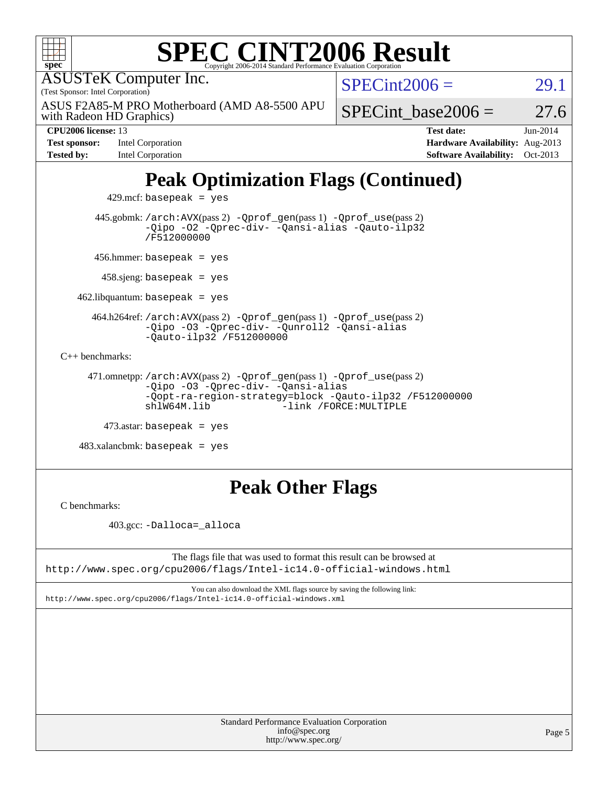| <b>SPEC CINT2006 Result</b><br>$spec^*$<br>Copyright 2006-2014 Standard Performance Evaluation Corporatio                                                                           |                        |                                                                                       |                        |  |  |  |
|-------------------------------------------------------------------------------------------------------------------------------------------------------------------------------------|------------------------|---------------------------------------------------------------------------------------|------------------------|--|--|--|
| <b>ASUSTeK Computer Inc.</b>                                                                                                                                                        | $SPECint2006 =$        |                                                                                       | 29.1                   |  |  |  |
| (Test Sponsor: Intel Corporation)<br>ASUS F2A85-M PRO Motherboard (AMD A8-5500 APU<br>with Radeon HD Graphics)                                                                      |                        | SPECint base2006 $=$                                                                  | 27.6                   |  |  |  |
| <b>CPU2006</b> license: 13<br><b>Test sponsor:</b><br>Intel Corporation<br><b>Tested by:</b><br>Intel Corporation                                                                   |                        | <b>Test date:</b><br>Hardware Availability: Aug-2013<br><b>Software Availability:</b> | $Jun-2014$<br>Oct-2013 |  |  |  |
| <b>Peak Optimization Flags (Continued)</b><br>$429$ .mcf: basepeak = yes                                                                                                            |                        |                                                                                       |                        |  |  |  |
| 445.gobmk: /arch: AVX(pass 2) - Qprof_gen(pass 1) - Qprof_use(pass 2)<br>-Qipo -02 -Qprec-div- -Qansi-alias -Qauto-ilp32<br>/F512000000                                             |                        |                                                                                       |                        |  |  |  |
| $456.$ hmmer: basepeak = yes                                                                                                                                                        |                        |                                                                                       |                        |  |  |  |
| $458 \text{.}$ sjeng: basepeak = yes                                                                                                                                                |                        |                                                                                       |                        |  |  |  |
| $462$ .libquantum: basepeak = yes                                                                                                                                                   |                        |                                                                                       |                        |  |  |  |
| 464.h264ref: /arch: AVX(pass 2) - Qprof_gen(pass 1) - Qprof_use(pass 2)<br>-Qipo -03 -Qprec-div- -Qunroll2 -Qansi-alias<br>$-Qauto-ilp32 /F512000000$                               |                        |                                                                                       |                        |  |  |  |
| $C_{++}$ benchmarks:                                                                                                                                                                |                        |                                                                                       |                        |  |  |  |
| 471.omnetpp:/arch:AVX(pass 2) -Qprof_gen(pass 1) -Qprof_use(pass 2)<br>-Qipo -03 -Qprec-div- -Qansi-alias<br>-Qopt-ra-region-strategy=block -Qauto-ilp32 /F512000000<br>shlW64M.lib | -link /FORCE: MULTIPLE |                                                                                       |                        |  |  |  |
| $473$ astar: basepeak = yes                                                                                                                                                         |                        |                                                                                       |                        |  |  |  |
| $483.xalanchmk: basepeak = yes$                                                                                                                                                     |                        |                                                                                       |                        |  |  |  |
| <b>Peak Other Flags</b>                                                                                                                                                             |                        |                                                                                       |                        |  |  |  |

[C benchmarks](http://www.spec.org/auto/cpu2006/Docs/result-fields.html#Cbenchmarks):

403.gcc: [-Dalloca=\\_alloca](http://www.spec.org/cpu2006/results/res2014q3/cpu2006-20140725-30581.flags.html#b403.gcc_peakEXTRA_CFLAGS_Dalloca_be3056838c12de2578596ca5467af7f3)

The flags file that was used to format this result can be browsed at <http://www.spec.org/cpu2006/flags/Intel-ic14.0-official-windows.html>

You can also download the XML flags source by saving the following link: <http://www.spec.org/cpu2006/flags/Intel-ic14.0-official-windows.xml>